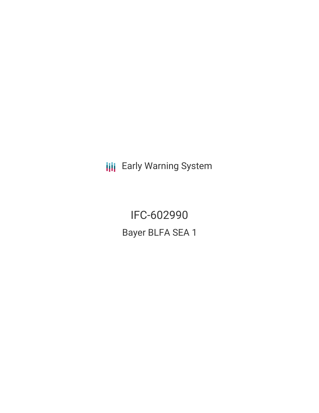**III** Early Warning System

IFC-602990 Bayer BLFA SEA 1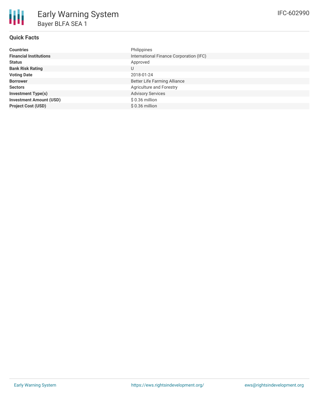## **Quick Facts**

| <b>Countries</b>               | Philippines                             |
|--------------------------------|-----------------------------------------|
| <b>Financial Institutions</b>  | International Finance Corporation (IFC) |
| <b>Status</b>                  | Approved                                |
| <b>Bank Risk Rating</b>        | U                                       |
| <b>Voting Date</b>             | 2018-01-24                              |
| <b>Borrower</b>                | <b>Better Life Farming Alliance</b>     |
| <b>Sectors</b>                 | Agriculture and Forestry                |
| <b>Investment Type(s)</b>      | <b>Advisory Services</b>                |
| <b>Investment Amount (USD)</b> | \$0.36 million                          |
| <b>Project Cost (USD)</b>      | $$0.36$ million                         |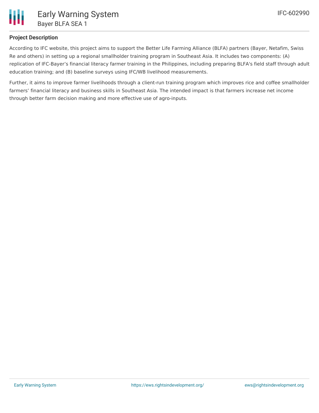

## **Project Description**

According to IFC website, this project aims to support the Better Life Farming Alliance (BLFA) partners (Bayer, Netafim, Swiss Re and others) in setting up a regional smallholder training program in Southeast Asia. It includes two components: (A) replication of IFC-Bayer's financial literacy farmer training in the Philippines, including preparing BLFA's field staff through adult education training; and (B) baseline surveys using IFC/WB livelihood measurements.

Further, it aims to improve farmer livelihoods through a client-run training program which improves rice and coffee smallholder farmers' financial literacy and business skills in Southeast Asia. The intended impact is that farmers increase net income through better farm decision making and more effective use of agro-inputs.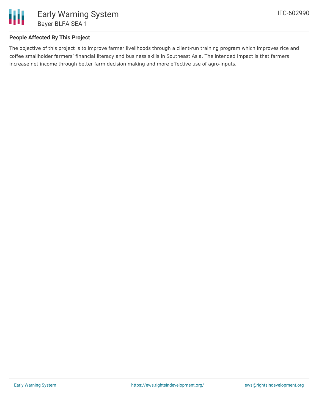

## **People Affected By This Project**

The objective of this project is to improve farmer livelihoods through a client-run training program which improves rice and coffee smallholder farmers' financial literacy and business skills in Southeast Asia. The intended impact is that farmers increase net income through better farm decision making and more effective use of agro-inputs.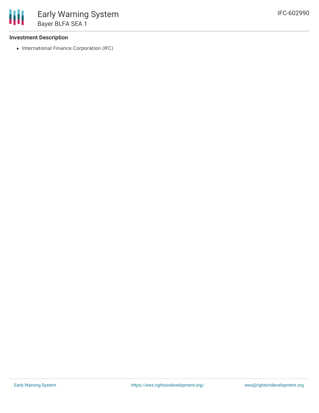#### **Investment Description**

• International Finance Corporation (IFC)